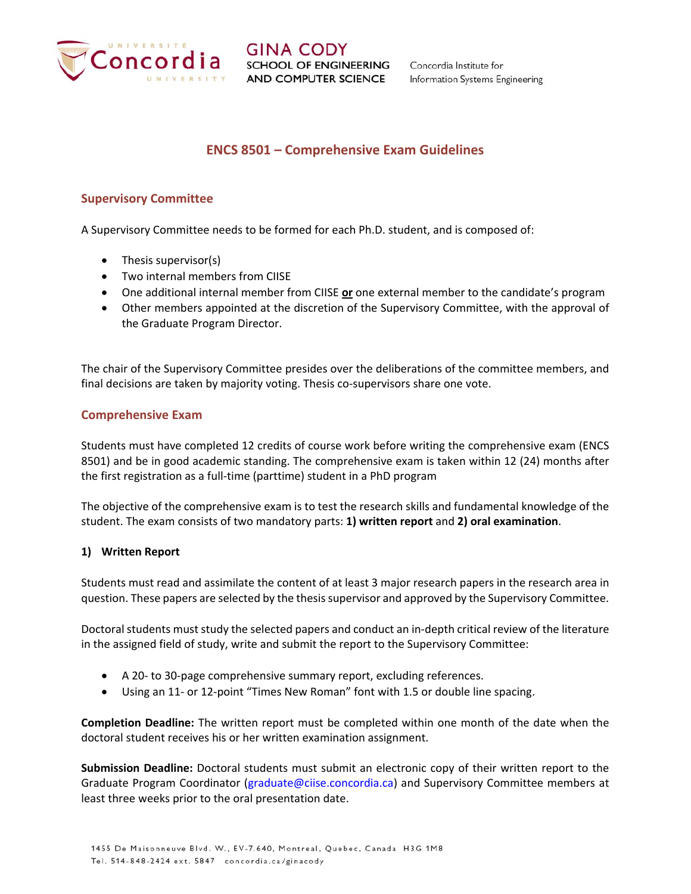

# **ENCS 8501 – Comprehensive Exam Guidelines**

## **Supervisory Committee**

A Supervisory Committee needs to be formed for each Ph.D. student, and is composed of:

- Thesis supervisor(s)
- Two internal members from CIISE
- One additional internal member from CIISE **or** one external member to the candidate's program
- Other members appointed at the discretion of the Supervisory Committee, with the approval of the Graduate Program Director.

The chair of the Supervisory Committee presides over the deliberations of the committee members, and final decisions are taken by majority voting. Thesis co-supervisors share one vote.

#### **Comprehensive Exam**

Students must have completed 12 credits of course work before writing the comprehensive exam (ENCS 8501) and be in good academic standing. The comprehensive exam is taken within 12 (24) months after the first registration as a full‐time (parttime) student in a PhD program

The objective of the comprehensive exam is to test the research skills and fundamental knowledge of the student. The exam consists of two mandatory parts: **1) written report** and **2) oral examination**.

#### **1) Written Report**

Students must read and assimilate the content of at least 3 major research papers in the research area in question. These papers are selected by the thesis supervisor and approved by the Supervisory Committee.

Doctoral students must study the selected papers and conduct an in‐depth critical review of the literature in the assigned field of study, write and submit the report to the Supervisory Committee:

- A 20- to 30-page comprehensive summary report, excluding references.
- Using an 11- or 12-point "Times New Roman" font with 1.5 or double line spacing.

**Completion Deadline:** The written report must be completed within one month of the date when the doctoral student receives his or her written examination assignment.

**Submission Deadline:** Doctoral students must submit an electronic copy of their written report to the Graduate Program Coordinator (graduate@ciise.concordia.ca) and Supervisory Committee members at least three weeks prior to the oral presentation date.